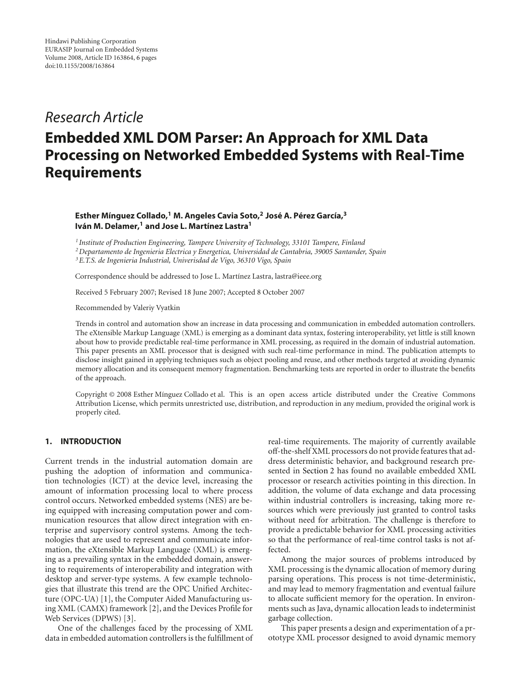## *Research Article*

# **Embedded XML DOM Parser: An Approach for XML Data Processing on Networked Embedded Systems with Real-Time Requirements**

## Esther Mínguez Collado,<sup>1</sup> M. Angeles Cavia Soto,<sup>2</sup> José A. Pérez García,<sup>3</sup> **Iván M. Delamer,<sup>1</sup> and Jose L. Martínez Lastra<sup>1</sup>**

*<sup>1</sup> Institute of Production Engineering, Tampere University of Technology, 33101 Tampere, Finland*

*2Departamento de Ingenieria Electrica y Energetica, Universidad de Cantabria, 39005 Santander, Spain 3E.T.S. de Ingenieria Industrial, Univerisdad de Vigo, 36310 Vigo, Spain*

Correspondence should be addressed to Jose L. Martínez Lastra, lastra@ieee.org

Received 5 February 2007; Revised 18 June 2007; Accepted 8 October 2007

Recommended by Valeriy Vyatkin

Trends in control and automation show an increase in data processing and communication in embedded automation controllers. The eXtensible Markup Language (XML) is emerging as a dominant data syntax, fostering interoperability, yet little is still known about how to provide predictable real-time performance in XML processing, as required in the domain of industrial automation. This paper presents an XML processor that is designed with such real-time performance in mind. The publication attempts to disclose insight gained in applying techniques such as object pooling and reuse, and other methods targeted at avoiding dynamic memory allocation and its consequent memory fragmentation. Benchmarking tests are reported in order to illustrate the benefits of the approach.

Copyright © 2008 Esther M´ınguez Collado et al. This is an open access article distributed under the Creative Commons Attribution License, which permits unrestricted use, distribution, and reproduction in any medium, provided the original work is properly cited.

## **1. INTRODUCTION**

Current trends in the industrial automation domain are pushing the adoption of information and communication technologies (ICT) at the device level, increasing the amount of information processing local to where process control occurs. Networked embedded systems (NES) are being equipped with increasing computation power and communication resources that allow direct integration with enterprise and supervisory control systems. Among the technologies that are used to represent and communicate information, the eXtensible Markup Language (XML) is emerging as a prevailing syntax in the embedded domain, answering to requirements of interoperability and integration with desktop and server-type systems. A few example technologies that illustrate this trend are the OPC Unified Architecture (OPC-UA) [1], the Computer Aided Manufacturing using XML (CAMX) framework [2], and the Devices Profile for Web Services (DPWS) [3].

One of the challenges faced by the processing of XML data in embedded automation controllers is the fulfillment of real-time requirements. The majority of currently available off-the-shelf XML processors do not provide features that address deterministic behavior, and background research presented in Section 2 has found no available embedded XML processor or research activities pointing in this direction. In addition, the volume of data exchange and data processing within industrial controllers is increasing, taking more resources which were previously just granted to control tasks without need for arbitration. The challenge is therefore to provide a predictable behavior for XML processing activities so that the performance of real-time control tasks is not affected.

Among the major sources of problems introduced by XML processing is the dynamic allocation of memory during parsing operations. This process is not time-deterministic, and may lead to memory fragmentation and eventual failure to allocate sufficient memory for the operation. In environments such as Java, dynamic allocation leads to indeterminist garbage collection.

This paper presents a design and experimentation of a prototype XML processor designed to avoid dynamic memory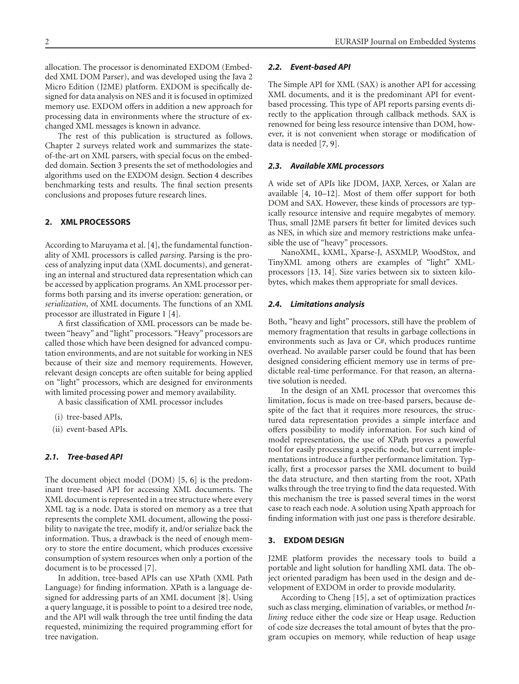allocation. The processor is denominated EXDOM (Embedded XML DOM Parser), and was developed using the Java 2 Micro Edition (J2ME) platform. EXDOM is specifically designed for data analysis on NES and it is focused in optimized memory use. EXDOM offers in addition a new approach for processing data in environments where the structure of exchanged XML messages is known in advance.

The rest of this publication is structured as follows. Chapter 2 surveys related work and summarizes the stateof-the-art on XML parsers, with special focus on the embedded domain. Section 3 presents the set of methodologies and algorithms used on the EXDOM design. Section 4 describes benchmarking tests and results. The final section presents conclusions and proposes future research lines.

## **2. XML PROCESSORS**

According to Maruyama et al. [4], the fundamental functionality of XML processors is called *parsing*. Parsing is the process of analyzing input data (XML documents), and generating an internal and structured data representation which can be accessed by application programs. An XML processor performs both parsing and its inverse operation: generation, or *serialization*, of XML documents. The functions of an XML processor are illustrated in Figure 1 [4].

A first classification of XML processors can be made between "heavy" and "light" processors. "Heavy" processors are called those which have been designed for advanced computation environments, and are not suitable for working in NES because of their size and memory requirements. However, relevant design concepts are often suitable for being applied on "light" processors, which are designed for environments with limited processing power and memory availability.

A basic classification of XML processor includes

- (i) tree-based APIs,
- (ii) event-based APIs.

## *2.1. Tree-based API*

The document object model (DOM) [5, 6] is the predominant tree-based API for accessing XML documents. The XML document is represented in a tree structure where every XML tag is a node. Data is stored on memory as a tree that represents the complete XML document, allowing the possibility to navigate the tree, modify it, and/or serialize back the information. Thus, a drawback is the need of enough memory to store the entire document, which produces excessive consumption of system resources when only a portion of the document is to be processed [7].

In addition, tree-based APIs can use XPath (XML Path Language) for finding information. XPath is a language designed for addressing parts of an XML document [8]. Using a query language, it is possible to point to a desired tree node, and the API will walk through the tree until finding the data requested, minimizing the required programming effort for tree navigation.

## *2.2. Event-based API*

The Simple API for XML (SAX) is another API for accessing XML documents, and it is the predominant API for eventbased processing. This type of API reports parsing events directly to the application through callback methods. SAX is renowned for being less resource intensive than DOM, however, it is not convenient when storage or modification of data is needed [7, 9].

#### *2.3. Available XML processors*

A wide set of APIs like JDOM, JAXP, Xerces, or Xalan are available [4, 10–12]. Most of them offer support for both DOM and SAX. However, these kinds of processors are typically resource intensive and require megabytes of memory. Thus, small J2ME parsers fit better for limited devices such as NES, in which size and memory restrictions make unfeasible the use of "heavy" processors.

NanoXML, kXML, Xparse-J, ASXMLP, WoodStox, and TinyXML among others are examples of "light" XMLprocessors [13, 14]. Size varies between six to sixteen kilobytes, which makes them appropriate for small devices.

#### *2.4. Limitations analysis*

Both, "heavy and light" processors, still have the problem of memory fragmentation that results in garbage collections in environments such as Java or C#, which produces runtime overhead. No available parser could be found that has been designed considering efficient memory use in terms of predictable real-time performance. For that reason, an alternative solution is needed.

In the design of an XML processor that overcomes this limitation, focus is made on tree-based parsers, because despite of the fact that it requires more resources, the structured data representation provides a simple interface and offers possibility to modify information. For such kind of model representation, the use of XPath proves a powerful tool for easily processing a specific node, but current implementations introduce a further performance limitation. Typically, first a processor parses the XML document to build the data structure, and then starting from the root, XPath walks through the tree trying to find the data requested. With this mechanism the tree is passed several times in the worst case to reach each node. A solution using Xpath approach for finding information with just one pass is therefore desirable.

## **3. EXDOM DESIGN**

J2ME platform provides the necessary tools to build a portable and light solution for handling XML data. The object oriented paradigm has been used in the design and development of EXDOM in order to provide modularity.

According to Cheng [15], a set of optimization practices such as class merging, elimination of variables, or method *Inlining* reduce either the code size or Heap usage. Reduction of code size decreases the total amount of bytes that the program occupies on memory, while reduction of heap usage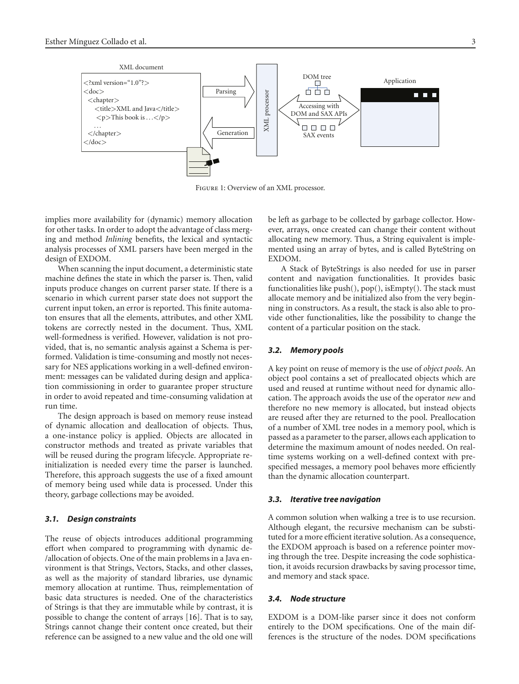

Figure 1: Overview of an XML processor.

implies more availability for (dynamic) memory allocation for other tasks. In order to adopt the advantage of class merging and method *Inlining* benefits, the lexical and syntactic analysis processes of XML parsers have been merged in the design of EXDOM.

When scanning the input document, a deterministic state machine defines the state in which the parser is. Then, valid inputs produce changes on current parser state. If there is a scenario in which current parser state does not support the current input token, an error is reported. This finite automaton ensures that all the elements, attributes, and other XML tokens are correctly nested in the document. Thus, XML well-formedness is verified. However, validation is not provided, that is, no semantic analysis against a Schema is performed. Validation is time-consuming and mostly not necessary for NES applications working in a well-defined environment: messages can be validated during design and application commissioning in order to guarantee proper structure in order to avoid repeated and time-consuming validation at run time.

The design approach is based on memory reuse instead of dynamic allocation and deallocation of objects. Thus, a one-instance policy is applied. Objects are allocated in constructor methods and treated as private variables that will be reused during the program lifecycle. Appropriate reinitialization is needed every time the parser is launched. Therefore, this approach suggests the use of a fixed amount of memory being used while data is processed. Under this theory, garbage collections may be avoided.

#### *3.1. Design constraints*

The reuse of objects introduces additional programming effort when compared to programming with dynamic de- /allocation of objects. One of the main problems in a Java environment is that Strings, Vectors, Stacks, and other classes, as well as the majority of standard libraries, use dynamic memory allocation at runtime. Thus, reimplementation of basic data structures is needed. One of the characteristics of Strings is that they are immutable while by contrast, it is possible to change the content of arrays [16]. That is to say, Strings cannot change their content once created, but their reference can be assigned to a new value and the old one will

be left as garbage to be collected by garbage collector. However, arrays, once created can change their content without allocating new memory. Thus, a String equivalent is implemented using an array of bytes, and is called ByteString on EXDOM.

A Stack of ByteStrings is also needed for use in parser content and navigation functionalities. It provides basic functionalities like push(), pop(), isEmpty(). The stack must allocate memory and be initialized also from the very beginning in constructors. As a result, the stack is also able to provide other functionalities, like the possibility to change the content of a particular position on the stack.

#### *3.2. Memory pools*

A key point on reuse of memory is the use of *object pools*. An object pool contains a set of preallocated objects which are used and reused at runtime without need for dynamic allocation. The approach avoids the use of the operator *new* and therefore no new memory is allocated, but instead objects are reused after they are returned to the pool. Preallocation of a number of XML tree nodes in a memory pool, which is passed as a parameter to the parser, allows each application to determine the maximum amount of nodes needed. On realtime systems working on a well-defined context with prespecified messages, a memory pool behaves more efficiently than the dynamic allocation counterpart.

#### *3.3. Iterative tree navigation*

A common solution when walking a tree is to use recursion. Although elegant, the recursive mechanism can be substituted for a more efficient iterative solution. As a consequence, the EXDOM approach is based on a reference pointer moving through the tree. Despite increasing the code sophistication, it avoids recursion drawbacks by saving processor time, and memory and stack space.

#### *3.4. Node structure*

EXDOM is a DOM-like parser since it does not conform entirely to the DOM specifications. One of the main differences is the structure of the nodes. DOM specifications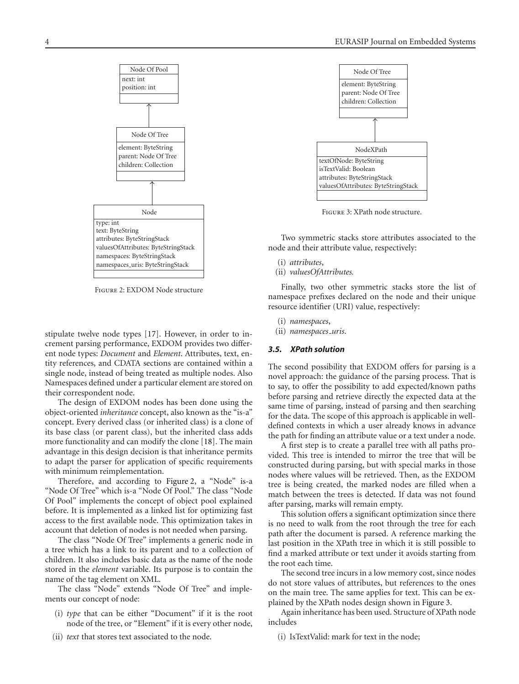

Figure 2: EXDOM Node structure

stipulate twelve node types [17]. However, in order to increment parsing performance, EXDOM provides two different node types: *Document* and *Element*. Attributes, text, entity references, and CDATA sections are contained within a single node, instead of being treated as multiple nodes. Also Namespaces defined under a particular element are stored on their correspondent node.

The design of EXDOM nodes has been done using the object-oriented *inheritance* concept, also known as the "is-a" concept. Every derived class (or inherited class) is a clone of its base class (or parent class), but the inherited class adds more functionality and can modify the clone [18]. The main advantage in this design decision is that inheritance permits to adapt the parser for application of specific requirements with minimum reimplementation.

Therefore, and according to Figure 2, a "Node" is-a "Node Of Tree" which is-a "Node Of Pool." The class "Node Of Pool" implements the concept of object pool explained before. It is implemented as a linked list for optimizing fast access to the first available node. This optimization takes in account that deletion of nodes is not needed when parsing.

The class "Node Of Tree" implements a generic node in a tree which has a link to its parent and to a collection of children. It also includes basic data as the name of the node stored in the *element* variable. Its purpose is to contain the name of the tag element on XML.

The class "Node" extends "Node Of Tree" and implements our concept of node:

- (i) *type* that can be either "Document" if it is the root node of the tree, or "Element" if it is every other node,
- (ii) *text* that stores text associated to the node.



Figure 3: XPath node structure.

Two symmetric stacks store attributes associated to the node and their attribute value, respectively:

- (i) *attributes*,
- (ii) *valuesOfAttributes.*

Finally, two other symmetric stacks store the list of namespace prefixes declared on the node and their unique resource identifier (URI) value, respectively:

- (i) *namespaces*,
- (ii) *namespaces uris*.

#### *3.5. XPath solution*

The second possibility that EXDOM offers for parsing is a novel approach: the guidance of the parsing process. That is to say, to offer the possibility to add expected/known paths before parsing and retrieve directly the expected data at the same time of parsing, instead of parsing and then searching for the data. The scope of this approach is applicable in welldefined contexts in which a user already knows in advance the path for finding an attribute value or a text under a node.

A first step is to create a parallel tree with all paths provided. This tree is intended to mirror the tree that will be constructed during parsing, but with special marks in those nodes where values will be retrieved. Then, as the EXDOM tree is being created, the marked nodes are filled when a match between the trees is detected. If data was not found after parsing, marks will remain empty.

This solution offers a significant optimization since there is no need to walk from the root through the tree for each path after the document is parsed. A reference marking the last position in the XPath tree in which it is still possible to find a marked attribute or text under it avoids starting from the root each time.

The second tree incurs in a low memory cost, since nodes do not store values of attributes, but references to the ones on the main tree. The same applies for text. This can be explained by the XPath nodes design shown in Figure 3.

Again inheritance has been used. Structure of XPath node includes

(i) IsTextValid: mark for text in the node;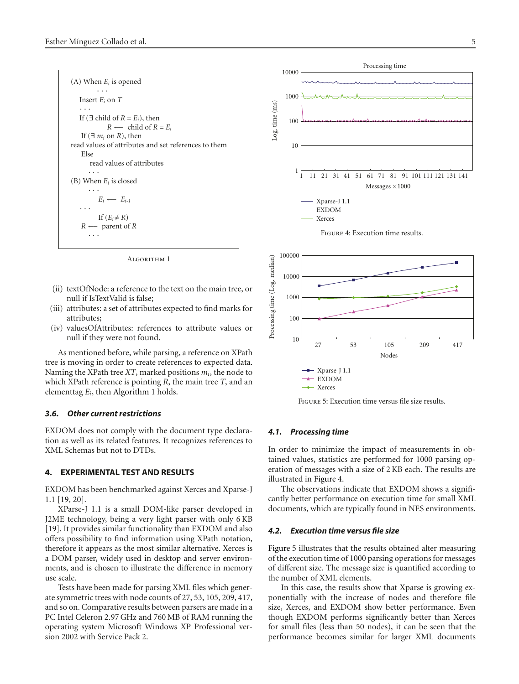| $(A)$ When $E_i$ is opened                           |
|------------------------------------------------------|
| .<br>Insert $E_i$ on $T$                             |
| .                                                    |
| If ( $\exists$ child of $R = E_i$ ), then            |
| $R \longleftarrow$ child of $R = E_i$                |
| If $(\exists m_i$ on R), then                        |
| read values of attributes and set references to them |
| Else                                                 |
| read values of attributes                            |
| .                                                    |
| $(B)$ When $E_i$ is closed                           |
|                                                      |
| $E_i \leftarrow E_{i-1}$                             |
| .                                                    |
| If $(E_i \neq R)$                                    |
| $R \leftarrow$ parent of R                           |
|                                                      |
|                                                      |

ALGORITHM 1

- (ii) textOfNode: a reference to the text on the main tree, or null if IsTextValid is false;
- (iii) attributes: a set of attributes expected to find marks for attributes;
- (iv) valuesOfAttributes: references to attribute values or null if they were not found.

As mentioned before, while parsing, a reference on XPath tree is moving in order to create references to expected data. Naming the XPath tree *XT*, marked positions *mi*, the node to which XPath reference is pointing *R*, the main tree *T*, and an elementtag *Ei*, then Algorithm 1 holds.

#### *3.6. Other current restrictions*

EXDOM does not comply with the document type declaration as well as its related features. It recognizes references to XML Schemas but not to DTDs.

## **4. EXPERIMENTAL TEST AND RESULTS**

EXDOM has been benchmarked against Xerces and Xparse-J 1.1 [19, 20].

XParse-J 1.1 is a small DOM-like parser developed in J2ME technology, being a very light parser with only 6 KB [19]. It provides similar functionality than EXDOM and also offers possibility to find information using XPath notation, therefore it appears as the most similar alternative. Xerces is a DOM parser, widely used in desktop and server environments, and is chosen to illustrate the difference in memory use scale.

Tests have been made for parsing XML files which generate symmetric trees with node counts of 27, 53, 105, 209, 417, and so on. Comparative results between parsers are made in a PC Intel Celeron 2.97 GHz and 760 MB of RAM running the operating system Microsoft Windows XP Professional version 2002 with Service Pack 2.





Figure 5: Execution time versus file size results.

#### *4.1. Processing time*

In order to minimize the impact of measurements in obtained values, statistics are performed for 1000 parsing operation of messages with a size of 2 KB each. The results are illustrated in Figure 4.

The observations indicate that EXDOM shows a significantly better performance on execution time for small XML documents, which are typically found in NES environments.

#### *4.2. Execution time versus file size*

Figure 5 illustrates that the results obtained alter measuring of the execution time of 1000 parsing operations for messages of different size. The message size is quantified according to the number of XML elements.

In this case, the results show that Xparse is growing exponentially with the increase of nodes and therefore file size, Xerces, and EXDOM show better performance. Even though EXDOM performs significantly better than Xerces for small files (less than 50 nodes), it can be seen that the performance becomes similar for larger XML documents